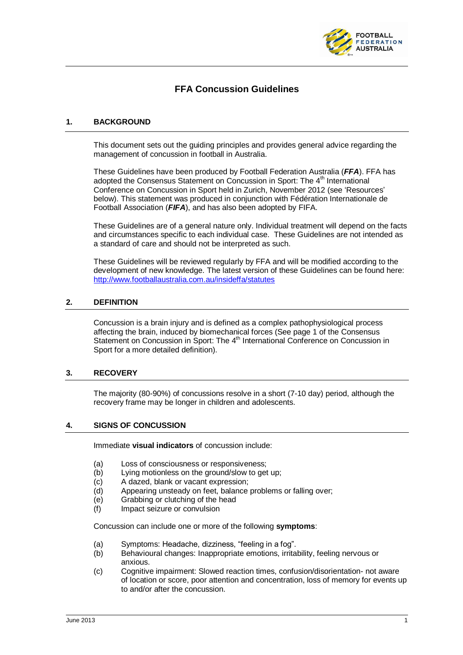

# **FFA Concussion Guidelines**

### **1. BACKGROUND**

This document sets out the guiding principles and provides general advice regarding the management of concussion in football in Australia.

These Guidelines have been produced by Football Federation Australia (*FFA*). FFA has adopted the Consensus Statement on Concussion in Sport: The 4<sup>th</sup> International Conference on Concussion in Sport held in Zurich, November 2012 (see 'Resources' below). This statement was produced in conjunction with Fédération Internationale de Football Association (*FIFA*), and has also been adopted by FIFA.

These Guidelines are of a general nature only. Individual treatment will depend on the facts and circumstances specific to each individual case. These Guidelines are not intended as a standard of care and should not be interpreted as such.

These Guidelines will be reviewed regularly by FFA and will be modified according to the development of new knowledge. The latest version of these Guidelines can be found here: <http://www.footballaustralia.com.au/insideffa/statutes>

### **2. DEFINITION**

Concussion is a brain injury and is defined as a complex pathophysiological process affecting the brain, induced by biomechanical forces (See page 1 of the Consensus Statement on Concussion in Sport: The 4<sup>th</sup> International Conference on Concussion in Sport for a more detailed definition).

#### **3. RECOVERY**

The majority (80-90%) of concussions resolve in a short (7-10 day) period, although the recovery frame may be longer in children and adolescents.

#### **4. SIGNS OF CONCUSSION**

Immediate **visual indicators** of concussion include:

- (a) Loss of consciousness or responsiveness;
- (b) Lying motionless on the ground/slow to get up:
- (c) A dazed, blank or vacant expression;
- (d) Appearing unsteady on feet, balance problems or falling over;
- (e) Grabbing or clutching of the head
- (f) Impact seizure or convulsion

Concussion can include one or more of the following **symptoms**:

- (a) Symptoms: Headache, dizziness, "feeling in a fog".
- (b) Behavioural changes: Inappropriate emotions, irritability, feeling nervous or anxious.
- (c) Cognitive impairment: Slowed reaction times, confusion/disorientation- not aware of location or score, poor attention and concentration, loss of memory for events up to and/or after the concussion.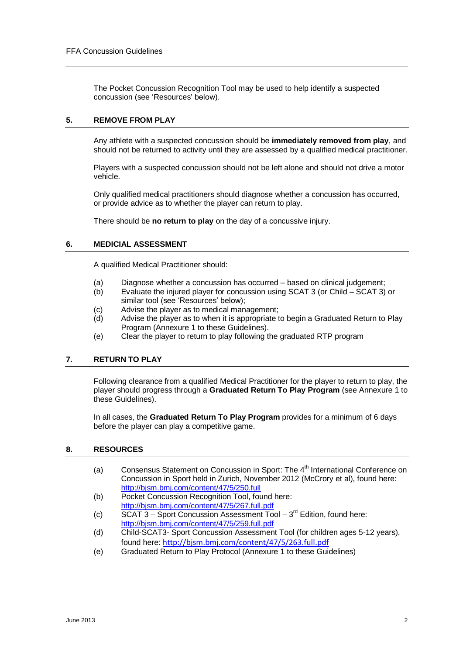The Pocket Concussion Recognition Tool may be used to help identify a suspected concussion (see 'Resources' below).

# **5. REMOVE FROM PLAY**

Any athlete with a suspected concussion should be **immediately removed from play**, and should not be returned to activity until they are assessed by a qualified medical practitioner.

Players with a suspected concussion should not be left alone and should not drive a motor vehicle.

Only qualified medical practitioners should diagnose whether a concussion has occurred, or provide advice as to whether the player can return to play.

There should be **no return to play** on the day of a concussive injury.

## **6. MEDICIAL ASSESSMENT**

A qualified Medical Practitioner should:

- (a) Diagnose whether a concussion has occurred based on clinical judgement;
- (b) Evaluate the injured player for concussion using SCAT 3 (or Child SCAT 3) or similar tool (see 'Resources' below);
- (c) Advise the player as to medical management;
- (d) Advise the player as to when it is appropriate to begin a Graduated Return to Play Program (Annexure 1 to these Guidelines).
- (e) Clear the player to return to play following the graduated RTP program

# **7. RETURN TO PLAY**

Following clearance from a qualified Medical Practitioner for the player to return to play, the player should progress through a **Graduated Return To Play Program** (see Annexure 1 to these Guidelines).

In all cases, the **Graduated Return To Play Program** provides for a minimum of 6 days before the player can play a competitive game.

## **8. RESOURCES**

- (a) Consensus Statement on Concussion in Sport: The  $4<sup>th</sup>$  International Conference on Concussion in Sport held in Zurich, November 2012 (McCrory et al), found here: <http://bjsm.bmj.com/content/47/5/250.full>
- (b) Pocket Concussion Recognition Tool, found here: <http://bjsm.bmj.com/content/47/5/267.full.pdf>
- (c)  $\overline{SCAT 3} -$  Sport Concussion Assessment Tool  $-3^{rd}$  Edition, found here: <http://bjsm.bmj.com/content/47/5/259.full.pdf>
- (d) Child-SCAT3- Sport Concussion Assessment Tool (for children ages 5-12 years), found here: <http://bjsm.bmj.com/content/47/5/263.full.pdf>
- (e) Graduated Return to Play Protocol (Annexure 1 to these Guidelines)